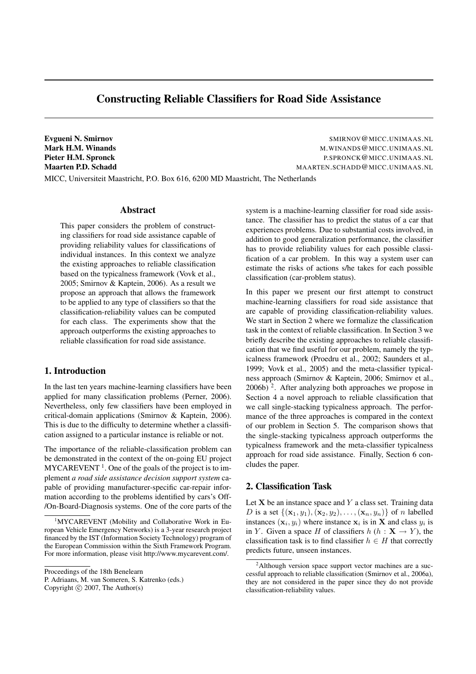# Constructing Reliable Classifiers for Road Side Assistance

Evgueni N. Smirnov SMIRNOV @MICC.UNIMAAS.NL Mark H.M. Winands M.Winands M.WINANDS @MICC.UNIMAAS.NL Pieter H.M. Spronck **Properties and American** P.SPRONCK @MICC.UNIMAAS.NL Maarten P.D. Schadd MAARTEN.SCHADD@MICC.UNIMAAS.NL

MICC, Universiteit Maastricht, P.O. Box 616, 6200 MD Maastricht, The Netherlands

## Abstract

This paper considers the problem of constructing classifiers for road side assistance capable of providing reliability values for classifications of individual instances. In this context we analyze the existing approaches to reliable classification based on the typicalness framework (Vovk et al., 2005; Smirnov & Kaptein, 2006). As a result we propose an approach that allows the framework to be applied to any type of classifiers so that the classification-reliability values can be computed for each class. The experiments show that the approach outperforms the existing approaches to reliable classification for road side assistance.

#### 1. Introduction

In the last ten years machine-learning classifiers have been applied for many classification problems (Perner, 2006). Nevertheless, only few classifiers have been employed in critical-domain applications (Smirnov & Kaptein, 2006). This is due to the difficulty to determine whether a classification assigned to a particular instance is reliable or not.

The importance of the reliable-classification problem can be demonstrated in the context of the on-going EU project  $MYCAREVENT<sup>1</sup>$ . One of the goals of the project is to implement *a road side assistance decision support system* capable of providing manufacturer-specific car-repair information according to the problems identified by cars's Off- /On-Board-Diagnosis systems. One of the core parts of the

P. Adriaans, M. van Someren, S. Katrenko (eds.)

Copyright  $\odot$  2007, The Author(s)

system is a machine-learning classifier for road side assistance. The classifier has to predict the status of a car that experiences problems. Due to substantial costs involved, in addition to good generalization performance, the classifier has to provide reliability values for each possible classification of a car problem. In this way a system user can estimate the risks of actions s/he takes for each possible classification (car-problem status).

In this paper we present our first attempt to construct machine-learning classifiers for road side assistance that are capable of providing classification-reliability values. We start in Section 2 where we formalize the classification task in the context of reliable classification. In Section 3 we briefly describe the existing approaches to reliable classification that we find useful for our problem, namely the typicalness framework (Proedru et al., 2002; Saunders et al., 1999; Vovk et al., 2005) and the meta-classifier typicalness approach (Smirnov & Kaptein, 2006; Smirnov et al.,  $2006b$ )<sup>2</sup>. After analyzing both approaches we propose in Section 4 a novel approach to reliable classification that we call single-stacking typicalness approach. The performance of the three approaches is compared in the context of our problem in Section 5. The comparison shows that the single-stacking typicalness approach outperforms the typicalness framework and the meta-classifier typicalness approach for road side assistance. Finally, Section 6 concludes the paper.

## 2. Classification Task

Let  $X$  be an instance space and  $Y$  a class set. Training data D is a set  $\{({\bf x}_1, y_1), ({\bf x}_2, y_2), \ldots, ({\bf x}_n, y_n)\}\$  of n labelled instances  $(\mathbf{x}_i, y_i)$  where instance  $\mathbf{x}_i$  is in **X** and class  $y_i$  is in Y. Given a space H of classifiers  $h(h : \mathbf{X} \to Y)$ , the classification task is to find classifier  $h \in H$  that correctly predicts future, unseen instances.

<sup>&</sup>lt;sup>1</sup>MYCAREVENT (Mobility and Collaborative Work in European Vehicle Emergency Networks) is a 3-year research project financed by the IST (Information Society Technology) program of the European Commission within the Sixth Framework Program. For more information, please visit http://www.mycarevent.com/.

Proceedings of the 18th Benelearn

<sup>&</sup>lt;sup>2</sup>Although version space support vector machines are a successful approach to reliable classification (Smirnov et al., 2006a), they are not considered in the paper since they do not provide classification-reliability values.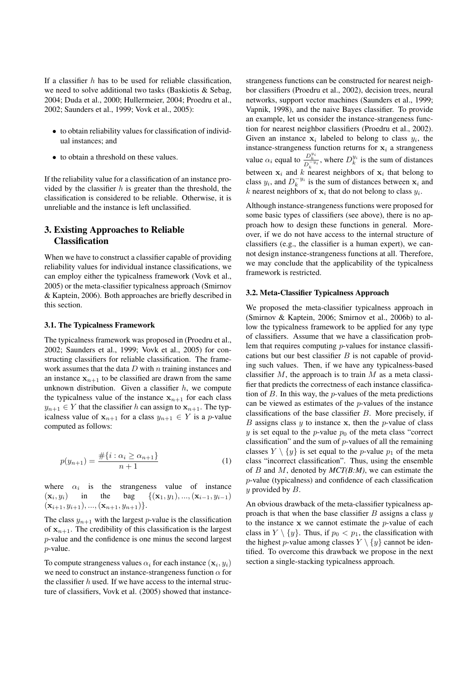If a classifier  $h$  has to be used for reliable classification, we need to solve additional two tasks (Baskiotis & Sebag, 2004; Duda et al., 2000; Hullermeier, 2004; Proedru et al., 2002; Saunders et al., 1999; Vovk et al., 2005):

- to obtain reliability values for classification of individual instances; and
- to obtain a threshold on these values.

If the reliability value for a classification of an instance provided by the classifier  $h$  is greater than the threshold, the classification is considered to be reliable. Otherwise, it is unreliable and the instance is left unclassified.

## 3. Existing Approaches to Reliable **Classification**

When we have to construct a classifier capable of providing reliability values for individual instance classifications, we can employ either the typicalness framework (Vovk et al., 2005) or the meta-classifier typicalness approach (Smirnov & Kaptein, 2006). Both approaches are briefly described in this section.

#### 3.1. The Typicalness Framework

The typicalness framework was proposed in (Proedru et al., 2002; Saunders et al., 1999; Vovk et al., 2005) for constructing classifiers for reliable classification. The framework assumes that the data  $D$  with  $n$  training instances and an instance  $x_{n+1}$  to be classified are drawn from the same unknown distribution. Given a classifier  $h$ , we compute the typicalness value of the instance  $x_{n+1}$  for each class  $y_{n+1} \in Y$  that the classifier h can assign to  $x_{n+1}$ . The typicalness value of  $x_{n+1}$  for a class  $y_{n+1} \in Y$  is a p-value computed as follows:

$$
p(y_{n+1}) = \frac{\#\{i : \alpha_i \ge \alpha_{n+1}\}}{n+1}
$$
 (1)

where  $\alpha_i$  is the strangeness value of instance  $(\mathbf{x}_i, y_i)$  in the  $\text{bag} \quad \{(\mathbf{x}_1, y_1), ..., (\mathbf{x}_{i-1}, y_{i-1})\}$  $(\mathbf{x}_{i+1}, y_{i+1}), ..., (\mathbf{x}_{n+1}, y_{n+1})\}.$ 

The class  $y_{n+1}$  with the largest p-value is the classification of  $x_{n+1}$ . The credibility of this classification is the largest p-value and the confidence is one minus the second largest p-value.

To compute strangeness values  $\alpha_i$  for each instance  $(\mathbf{x}_i, y_i)$ we need to construct an instance-strangeness function  $\alpha$  for the classifier  $h$  used. If we have access to the internal structure of classifiers, Vovk et al. (2005) showed that instance-

strangeness functions can be constructed for nearest neighbor classifiers (Proedru et al., 2002), decision trees, neural networks, support vector machines (Saunders et al., 1999; Vapnik, 1998), and the naive Bayes classifier. To provide an example, let us consider the instance-strangeness function for nearest neighbor classifiers (Proedru et al., 2002). Given an instance  $x_i$  labeled to belong to class  $y_i$ , the instance-strangeness function returns for  $x_i$  a strangeness value  $\alpha_i$  equal to  $\frac{D_k^{y_i}}{D_k^{-y_i}}$ , where  $D_k^{y_i}$  is the sum of distances between  $x_i$  and k nearest neighbors of  $x_i$  that belong to class  $y_i$ , and  $D_k^{-y_i}$  is the sum of distances between  $x_i$  and k nearest neighbors of  $x_i$  that do not belong to class  $y_i$ .

Although instance-strangeness functions were proposed for some basic types of classifiers (see above), there is no approach how to design these functions in general. Moreover, if we do not have access to the internal structure of classifiers (e.g., the classifier is a human expert), we cannot design instance-strangeness functions at all. Therefore, we may conclude that the applicability of the typicalness framework is restricted.

#### 3.2. Meta-Classifier Typicalness Approach

We proposed the meta-classifier typicalness approach in (Smirnov & Kaptein, 2006; Smirnov et al., 2006b) to allow the typicalness framework to be applied for any type of classifiers. Assume that we have a classification problem that requires computing p-values for instance classifications but our best classifier  $B$  is not capable of providing such values. Then, if we have any typicalness-based classifier  $M$ , the approach is to train  $M$  as a meta classifier that predicts the correctness of each instance classification of  $B$ . In this way, the *p*-values of the meta predictions can be viewed as estimates of the  $p$ -values of the instance classifications of the base classifier B. More precisely, if  $B$  assigns class  $y$  to instance  $x$ , then the  $p$ -value of class y is set equal to the p-value  $p_0$  of the meta class "correct" classification" and the sum of  $p$ -values of all the remaining classes  $Y \setminus \{y\}$  is set equal to the *p*-value  $p_1$  of the meta class "incorrect classification". Thus, using the ensemble of B and M, denoted by *MCT(B:M)*, we can estimate the p-value (typicalness) and confidence of each classification  $y$  provided by  $B$ .

An obvious drawback of the meta-classifier typicalness approach is that when the base classifier  $B$  assigns a class  $y$ to the instance  $x$  we cannot estimate the *p*-value of each class in  $Y \setminus \{y\}$ . Thus, if  $p_0 < p_1$ , the classification with the highest p-value among classes  $Y \setminus \{y\}$  cannot be identified. To overcome this drawback we propose in the next section a single-stacking typicalness approach.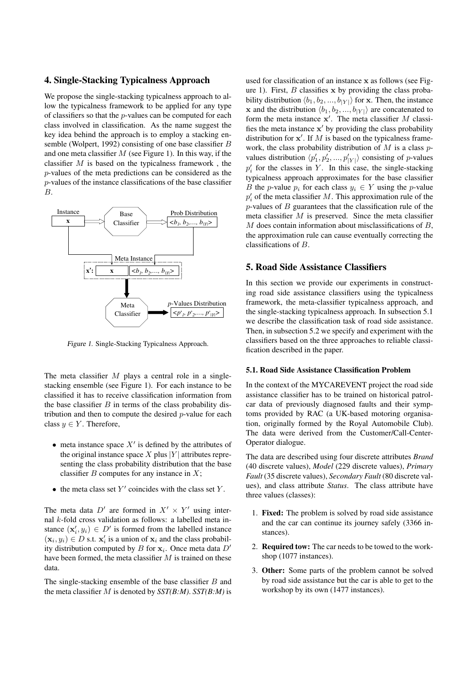#### 4. Single-Stacking Typicalness Approach

We propose the single-stacking typicalness approach to allow the typicalness framework to be applied for any type of classifiers so that the  $p$ -values can be computed for each class involved in classification. As the name suggest the key idea behind the approach is to employ a stacking ensemble (Wolpert, 1992) consisting of one base classifier B and one meta classifier  $M$  (see Figure 1). In this way, if the classifier  $M$  is based on the typicalness framework, the p-values of the meta predictions can be considered as the p-values of the instance classifications of the base classifier B.



Figure 1. Single-Stacking Typicalness Approach.

The meta classifier  $M$  plays a central role in a singlestacking ensemble (see Figure 1). For each instance to be classified it has to receive classification information from the base classifier  $B$  in terms of the class probability distribution and then to compute the desired  $p$ -value for each class  $y \in Y$ . Therefore,

- meta instance space  $X'$  is defined by the attributes of the original instance space X plus  $|Y|$  attributes representing the class probability distribution that the base classifier  $B$  computes for any instance in  $X$ ;
- the meta class set  $Y'$  coincides with the class set  $Y$ .

The meta data D' are formed in  $X' \times Y'$  using internal k-fold cross validation as follows: a labelled meta instance  $(\mathbf{x}'_i, y_i) \in D'$  is formed from the labelled instance  $(\mathbf{x}_i, y_i) \in D$  s.t.  $\mathbf{x}'_i$  is a union of  $\mathbf{x}_i$  and the class probability distribution computed by B for  $x_i$ . Once meta data  $D'$ have been formed, the meta classifier  $M$  is trained on these data.

The single-stacking ensemble of the base classifier  $B$  and the meta classifier M is denoted by *SST(B:M)*. *SST(B:M)* is

used for classification of an instance x as follows (see Figure 1). First,  $B$  classifies  $x$  by providing the class probability distribution  $\langle b_1, b_2, ..., b_{|Y|} \rangle$  for x. Then, the instance x and the distribution  $\langle b_1, b_2, ..., b_{|Y|} \rangle$  are concatenated to form the meta instance  $x'$ . The meta classifier M classifies the meta instance  $x'$  by providing the class probability distribution for  $x'$ . If M is based on the typicalness framework, the class probability distribution of  $M$  is a class  $p$ values distribution  $\langle p'_1, p'_2, ..., p'_{|Y|} \rangle$  consisting of *p*-values  $p'_i$  for the classes in Y. In this case, the single-stacking typicalness approach approximates for the base classifier B the p-value  $p_i$  for each class  $y_i \in Y$  using the p-value  $p'_i$  of the meta classifier M. This approximation rule of the  $p$ -values of  $B$  guarantees that the classification rule of the meta classifier  $M$  is preserved. Since the meta classifier  $M$  does contain information about misclassifications of  $B$ , the approximation rule can cause eventually correcting the classifications of B.

#### 5. Road Side Assistance Classifiers

In this section we provide our experiments in constructing road side assistance classifiers using the typicalness framework, the meta-classifier typicalness approach, and the single-stacking typicalness approach. In subsection 5.1 we describe the classification task of road side assistance. Then, in subsection 5.2 we specify and experiment with the classifiers based on the three approaches to reliable classification described in the paper.

#### 5.1. Road Side Assistance Classification Problem

In the context of the MYCAREVENT project the road side assistance classifier has to be trained on historical patrolcar data of previously diagnosed faults and their symptoms provided by RAC (a UK-based motoring organisation, originally formed by the Royal Automobile Club). The data were derived from the Customer/Call-Center-Operator dialogue.

The data are described using four discrete attributes *Brand* (40 discrete values), *Model* (229 discrete values), *Primary Fault* (35 discrete values), *Secondary Fault* (80 discrete values), and class attribute *Status*. The class attribute have three values (classes):

- 1. Fixed: The problem is solved by road side assistance and the car can continue its journey safely (3366 instances).
- 2. Required tow: The car needs to be towed to the workshop (1077 instances).
- 3. Other: Some parts of the problem cannot be solved by road side assistance but the car is able to get to the workshop by its own (1477 instances).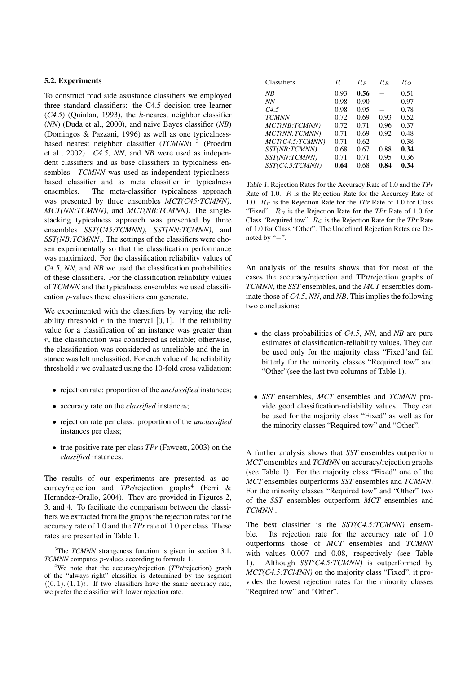## 5.2. Experiments

To construct road side assistance classifiers we employed three standard classifiers: the C4.5 decision tree learner (*C4.5*) (Quinlan, 1993), the k-nearest neighbor classifier (*NN*) (Duda et al., 2000), and naive Bayes classifier (*NB*) (Domingos & Pazzani, 1996) as well as one typicalnessbased nearest neighbor classifier (*TCMNN*) 3 (Proedru et al., 2002). *C4.5*, *NN*, and *NB* were used as independent classifiers and as base classifiers in typicalness ensembles. *TCMNN* was used as independent typicalnessbased classifier and as meta classifier in typicalness ensembles. The meta-classifier typicalness approach was presented by three ensembles *MCT(C45:TCMNN)*, *MCT(NN:TCMNN)*, and *MCT(NB:TCMNN)*. The singlestacking typicalness approach was presented by three ensembles *SST(C45:TCMNN)*, *SST(NN:TCMNN)*, and *SST(NB:TCMNN)*. The settings of the classifiers were chosen experimentally so that the classification performance was maximized. For the classification reliability values of *C4.5*, *NN*, and *NB* we used the classification probabilities of these classifiers. For the classification reliability values of *TCMNN* and the typicalness ensembles we used classification p-values these classifiers can generate.

We experimented with the classifiers by varying the reliability threshold r in the interval  $[0, 1]$ . If the reliability value for a classification of an instance was greater than  $r$ , the classification was considered as reliable; otherwise, the classification was considered as unreliable and the instance was left unclassified. For each value of the reliability threshold  $r$  we evaluated using the 10-fold cross validation:

- rejection rate: proportion of the *unclassified* instances;
- accuracy rate on the *classified* instances;
- rejection rate per class: proportion of the *unclassified* instances per class;
- true positive rate per class *TPr* (Fawcett, 2003) on the *classified* instances.

The results of our experiments are presented as accuracy/rejection and *TPr*/rejection graphs<sup>4</sup> (Ferri & Hernndez-Orallo, 2004). They are provided in Figures 2, 3, and 4. To facilitate the comparison between the classifiers we extracted from the graphs the rejection rates for the accuracy rate of 1.0 and the *TPr* rate of 1.0 per class. These rates are presented in Table 1.

| Classifiers      | R.   | $R_F$ | $R_{\it B}$ | Ro   |
|------------------|------|-------|-------------|------|
| NB               | 0.93 | 0.56  |             | 0.51 |
| NN               | 0.98 | 0.90  |             | 0.97 |
| C <sub>4.5</sub> | 0.98 | 0.95  |             | 0.78 |
| <b>TCMNN</b>     | 0.72 | 0.69  | 0.93        | 0.52 |
| MCT(NB:TCMNN)    | 0.72 | 0.71  | 0.96        | 0.37 |
| MCT(NN:TCMNN)    | 0.71 | 0.69  | 0.92        | 0.48 |
| MCT(C4.5:TCMNN)  | 0.71 | 0.62  |             | 0.38 |
| SST(NB:TCMNN)    | 0.68 | 0.67  | 0.88        | 0.34 |
| SST(NN:TCMNN)    | 0.71 | 0.71  | 0.95        | 0.36 |
| SST(C4.5:TCMNN)  | 0.64 | 0.68  | 0.84        | 0.34 |

Table 1. Rejection Rates for the Accuracy Rate of 1.0 and the *TPr* Rate of 1.0. R is the Rejection Rate for the Accuracy Rate of 1.0. R<sup>F</sup> is the Rejection Rate for the *TPr* Rate of 1.0 for Class "Fixed".  $R_R$  is the Rejection Rate for the *TPr* Rate of 1.0 for Class "Required tow".  $R_O$  is the Rejection Rate for the *TPr* Rate of 1.0 for Class "Other". The Undefined Rejection Rates are Denoted by "−".

An analysis of the results shows that for most of the cases the accuracy/rejection and TPr/rejection graphs of *TCMNN*, the *SST* ensembles, and the *MCT* ensembles dominate those of *C4.5*, *NN*, and *NB*. This implies the following two conclusions:

- the class probabilities of *C4.5*, *NN*, and *NB* are pure estimates of classification-reliability values. They can be used only for the majority class "Fixed"and fail bitterly for the minority classes "Required tow" and "Other"(see the last two columns of Table 1).
- *SST* ensembles, *MCT* ensembles and *TCMNN* provide good classification-reliability values. They can be used for the majority class "Fixed" as well as for the minority classes "Required tow" and "Other".

A further analysis shows that *SST* ensembles outperform *MCT* ensembles and *TCMNN* on accuracy/rejection graphs (see Table 1). For the majority class "Fixed" one of the *MCT* ensembles outperforms *SST* ensembles and *TCMNN*. For the minority classes "Required tow" and "Other" two of the *SST* ensembles outperform *MCT* ensembles and *TCMNN* .

The best classifier is the *SST(C4.5:TCMNN)* ensemble. Its rejection rate for the accuracy rate of 1.0 outperforms those of *MCT* ensembles and *TCMNN* with values 0.007 and 0.08, respectively (see Table 1). Although *SST(C4.5:TCMNN)* is outperformed by *MCT(C4.5:TCMNN)* on the majority class "Fixed", it provides the lowest rejection rates for the minority classes "Required tow" and "Other".

<sup>&</sup>lt;sup>3</sup>The *TCMNN* strangeness function is given in section 3.1. *TCMNN* computes *p*-values according to formula 1.

<sup>4</sup>We note that the accuracy/rejection (*TPr*/rejection) graph of the "always-right" classifier is determined by the segment  $\langle (0, 1), (1, 1) \rangle$ . If two classifiers have the same accuracy rate, we prefer the classifier with lower rejection rate.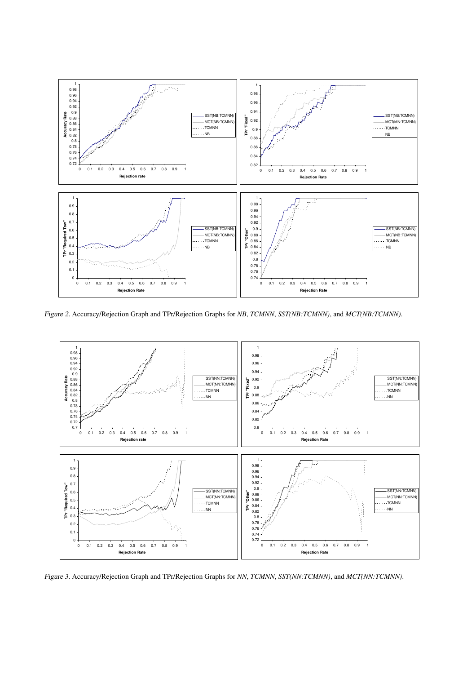

Figure 2. Accuracy/Rejection Graph and TPr/Rejection Graphs for *NB*, *TCMNN*, *SST(NB:TCMNN)*, and *MCT(NB:TCMNN)*.



Figure 3. Accuracy/Rejection Graph and TPr/Rejection Graphs for *NN*, *TCMNN*, *SST(NN:TCMNN)*, and *MCT(NN:TCMNN)*.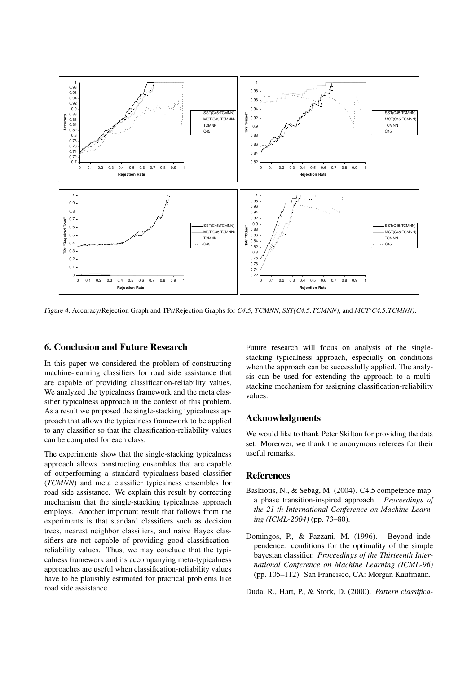

Figure 4. Accuracy/Rejection Graph and TPr/Rejection Graphs for *C4.5*, *TCMNN*, *SST(C4.5:TCMNN)*, and *MCT(C4.5:TCMNN)*.

#### 6. Conclusion and Future Research

In this paper we considered the problem of constructing machine-learning classifiers for road side assistance that are capable of providing classification-reliability values. We analyzed the typicalness framework and the meta classifier typicalness approach in the context of this problem. As a result we proposed the single-stacking typicalness approach that allows the typicalness framework to be applied to any classifier so that the classification-reliability values can be computed for each class.

The experiments show that the single-stacking typicalness approach allows constructing ensembles that are capable of outperforming a standard typicalness-based classifier (*TCMNN*) and meta classifier typicalness ensembles for road side assistance. We explain this result by correcting mechanism that the single-stacking typicalness approach employs. Another important result that follows from the experiments is that standard classifiers such as decision trees, nearest neighbor classifiers, and naive Bayes classifiers are not capable of providing good classificationreliability values. Thus, we may conclude that the typicalness framework and its accompanying meta-typicalness approaches are useful when classification-reliability values have to be plausibly estimated for practical problems like road side assistance.

Future research will focus on analysis of the singlestacking typicalness approach, especially on conditions when the approach can be successfully applied. The analysis can be used for extending the approach to a multistacking mechanism for assigning classification-reliability values.

## Acknowledgments

We would like to thank Peter Skilton for providing the data set. Moreover, we thank the anonymous referees for their useful remarks.

#### References

- Baskiotis, N., & Sebag, M. (2004). C4.5 competence map: a phase transition-inspired approach. *Proceedings of the 21-th International Conference on Machine Learning (ICML-2004)* (pp. 73–80).
- Domingos, P., & Pazzani, M. (1996). Beyond independence: conditions for the optimality of the simple bayesian classifier. *Proceedings of the Thirteenth International Conference on Machine Learning (ICML-96)* (pp. 105–112). San Francisco, CA: Morgan Kaufmann.

Duda, R., Hart, P., & Stork, D. (2000). *Pattern classifica-*